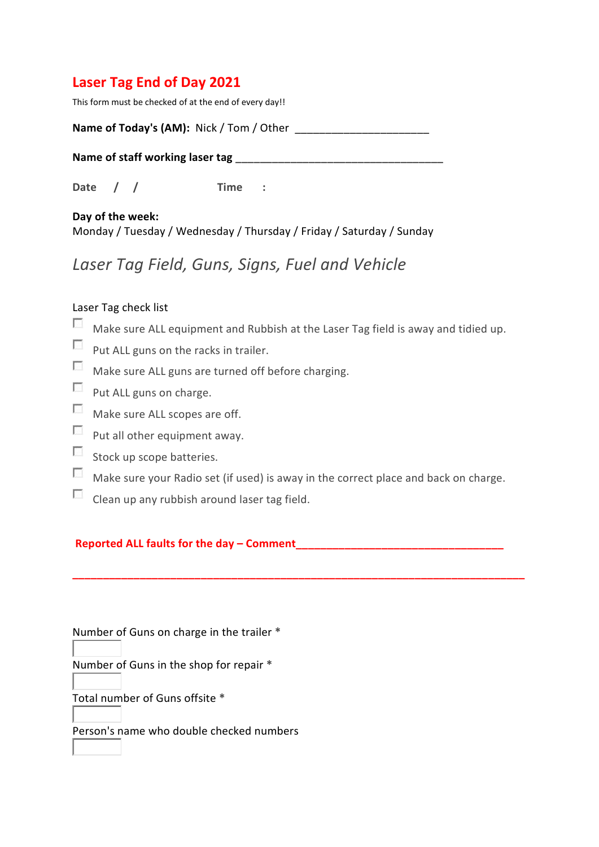# **Laser Tag End of Day 2021**

This form must be checked of at the end of every day!!

| Name of Today's (AM): Nick / Tom / Other |  |
|------------------------------------------|--|
|------------------------------------------|--|

Name of staff working laser tag

**Date / / Time :**

**Day of the week:** Monday / Tuesday / Wednesday / Thursday / Friday / Saturday / Sunday

# *Laser Tag Field, Guns, Signs, Fuel and Vehicle*

#### Laser Tag check list

- $\Box$  Make sure ALL equipment and Rubbish at the Laser Tag field is away and tidied up.
- Put ALL guns on the racks in trailer.
- $\sim$ Make sure ALL guns are turned off before charging.
- $\Box$  Put ALL guns on charge.
- Make sure ALL scopes are off.
- $\Box$  Put all other equipment away.
- $\Box$  Stock up scope batteries.
- $\sim$ Make sure your Radio set (if used) is away in the correct place and back on charge.

**\_\_\_\_\_\_\_\_\_\_\_\_\_\_\_\_\_\_\_\_\_\_\_\_\_\_\_\_\_\_\_\_\_\_\_\_\_\_\_\_\_\_\_\_\_\_\_\_\_\_\_\_\_\_\_\_\_\_\_\_\_\_\_\_\_\_\_\_\_\_\_\_\_\_**

Clean up any rubbish around laser tag field.

#### **Reported ALL faults for the day – Comment\_\_\_\_\_\_\_\_\_\_\_\_\_\_\_\_\_\_\_\_\_\_\_\_\_\_\_\_\_\_\_\_\_\_**

Number of Guns on charge in the trailer **\***

Number of Guns in the shop for repair **\***

Total number of Guns offsite **\***

Person's name who double checked numbers